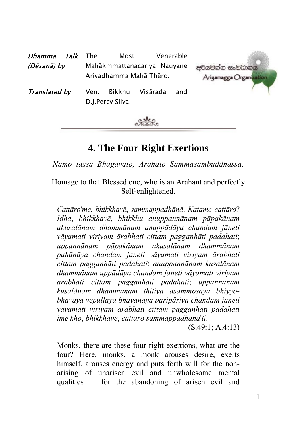| <i>Talk</i> The<br>Dhamma | Most                                                   | Venerable       |                                         |
|---------------------------|--------------------------------------------------------|-----------------|-----------------------------------------|
| (Dēsanā) by               | Mahākmmattanacariya Nauyane<br>Ariyadhamma Mahā Thēro. |                 | අරියමන්න සංවිධානය<br>Ariyamagga Organiz |
| Translated by             | Bikkhu<br>Ven.<br>D.J.Percy Silva.                     | Visārada<br>and |                                         |



# **4. The Four Right Exertions**

*Namo tassa Bhagavato, Arahato Sammāsambuddhassa.* 

Homage to that Blessed one, who is an Arahant and perfectly Self-enlightened.

*Cattāro*'*me*, *bhikkhavē*, *sammappadhānā*. *Katame cattāro*? *Idha*, *bhikkhavē*, *bhikkhu anuppannānam pāpakānam akusalānam dhammānam anuppādāya chandam jāneti vāyamati viriyam ārabhati cittam pagganhāti padahati*; *uppannānam pāpakānam akusalānam dhammānam pahānāya chandam janeti vāyamati viriyam ārabhati cittam pagganhāti padahati*; *anuppannānam kusalānam dhammānam uppādāya chandam janeti vāyamati viriyam ārabhati cittam pagganhāti padahati*; *uppannānam kusalànam dhammānam thitiyā asammosāya bhiyyobhāvāya vepullāya bhāvanāya pāripåriyā chandam janeti vāyamati viriyam ārabhati cittam pagganhāti padahati imē kho*, *bhikkhave*, *cattāro sammappadhānā*'*ti*.

(S.49:1; A.4:13)

Monks, there are these four right exertions, what are the four? Here, monks, a monk arouses desire, exerts himself, arouses energy and puts forth will for the nonarising of unarisen evil and unwholesome mental qualities for the abandoning of arisen evil and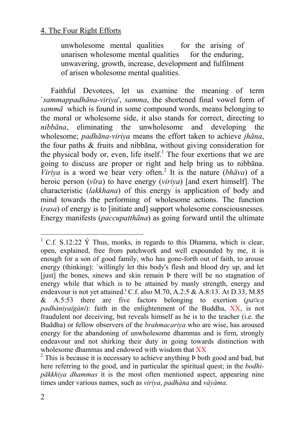unwholesome mental qualities for the arising of unarisen wholesome mental qualities for the enduring, unwavering, growth, increase, development and fulfilment of arisen wholesome mental qualities.

Faithful Devotees, let us examine the meaning of term `*sammappadhāna-viriya*', *samma*, the shortened final vowel form of *sammā* which is found in some compound words, means belonging to the moral or wholesome side, it also stands for correct, directing to *nibbāna*, eliminating the unwholesome and developing the wholesome; *padhāna-viriya* means the effort taken to achieve *jhāna*, the four paths & fruits and nibbāna, without giving consideration for the physical body or, even, life itself.<sup>1</sup> The four exertions that we are going to discuss are proper or right and help bring us to nibbāna. *Viriya* is a word we hear very often.<sup>2</sup> It is the nature ( $bh\bar{a}va$ ) of a heroic person (*vīra*) to have energy (*viriya*) [and exert himself]. The characteristic (*lakkhana*) of this energy is application of body and mind towards the performing of wholesome actions. The function (*rasa*) of energy is to [initiate and] support wholesome consciousnesses. Energy manifests (*paccupatthāna*) as going forward until the ultimate

 $1 \text{ C.f. } S.12:22 \text{ Y}$  Thus, monks, in regards to this Dhamma, which is clear, open, explained, free from patchwork and well expounded by me, it is enough for a son of good family, who has gone-forth out of faith, to arouse energy (thinking): `willingly let this body's flesh and blood dry up, and let [just] the bones, sinews and skin remain Þ there will be no stagnation of energy while that which is to be attained by manly strength, energy and endeavour is not yet attained.' C.f. also M.70, A.2:5 & A.8:13. At D.33, M.85 & A.5:53 there are five factors belonging to exertion (*pa¤ca padhàniyaïgàni*): faith in the enlightenment of the Buddha, XX, is not fraudulent nor deceiving, but reveals himself as he is to the teacher (i.e. the Buddha) or fellow observers of the *brahmacariya* who are wise, has aroused energy for the abandoning of unwholesome dhammas and is firm, strongly endeavour and not shirking their duty in going towards distinction with wholesome dhammas and endowed with wisdom that  $\overline{XX}$ <br><sup>2</sup> This is because it is necessary to achieve anything **Þ** both good and bad, but

here referring to the good, and in particular the spiritual quest; in the *bodhipākkhiya dhammas* it is the most often mentioned aspect, appearing nine times under various names, such as *viriya*, *padhàna* and *vàyàma*.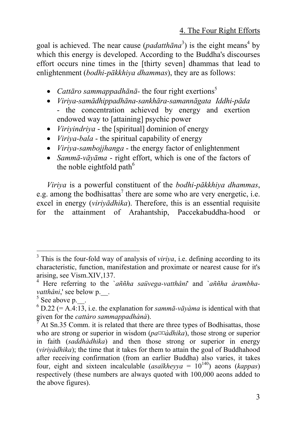goal is achieved. The near cause  $(\text{padatth}^3)$  is the eight means<sup>4</sup> by which this energy is developed. According to t[he](#page-2-1) Buddha's discourses effort occurs nine times in the [thirty seven] dhammas that lead to enlightenment (*bodhi-pākkhiya dhammas*), they are as follows:

- *Cattāro sammappadhānā* the four right exertions<sup>5</sup>
- *Viriya-samādhippadhāna-sankhāra-samannāgata Iddhi-pāda* - the concentration achieved by energy and exertion endowed way to [attaining] psychic power
- *Viriyindriya* the [spiritual] dominion of energy
- *Viriya-bala* the spiritual capability of energy
- *Viriya-sambojjhanga* the energy factor of enlightenment
- *Sammā-vāyāma* right effort, which is one of the factors of the noble eightfold path $^6$

*Viriya* is a powerful constituent of the *bodhi-pākkhiya dhammas*, e.g. among the bodhisattas<sup>7</sup> there are some who are very energetic, i.e. excel in energy (*viriyādhika*). Therefore, this is an essential requisite for the attainment of Arahantship, Paccekabuddha-hood or

<sup>&</sup>lt;sup>2</sup><br>3 <sup>3</sup> This is the four-fold way of analysis of *viriya*, i.e. defining according to its characteristic, function, manifestation and proximate or nearest cause for it's arising, see Vism.XIV,137. 4

Here referring to the `*aññha saüvega-vatthåni*' and `*aññha àrambhavatthåni*,' see below p.

 $5$  See above p.  $\blacksquare$ 

<span id="page-2-0"></span> $^{6}$  D.22 (= A.4:13, i.e. the explanation for *samma-vayama* is identical with that given for the *cattàro sammappadhànà*). 7

<span id="page-2-1"></span>At Sn.35 Comm. it is related that there are three types of Bodhisattas, those who are strong or superior in wisdom (*pa¤¤àdhika*), those strong or superior in faith (*saddhàdhika*) and then those strong or superior in energy (*viriyàdhika*); the time that it takes for them to attain the goal of Buddhahood after receiving confirmation (from an earlier Buddha) also varies, it takes four, eight and sixteen incalculable (*asaïkheyya* =  $10^{140}$ ) aeons (*kappas*) respectively (these numbers are always quoted with 100,000 aeons added to the above figures).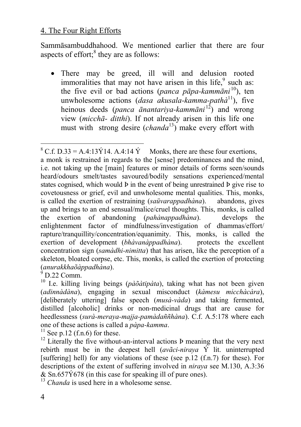Sammāsambuddhahood. We mentioned earlier that there are four aspects of effort; $<sup>8</sup>$  they are as follows:</sup>

• There may be greed, ill will and delusion rooted immoralities that may not have arisen in this life,<sup>9</sup> such as: the five evil or bad actions (*panca pāpa-kammāni* <sup>10</sup>), ten unwholesome actions (*dasa akusala-kamma-pathà*11), five heinous deeds (*panca ānantariya-kammāni* 12) and wrong view (*micchā- ditthi*). If not already arisen in this life one must with strong desire (*chanda*13) make every effort with

<sup>13</sup> *Chanda* is used here in a wholesome sense.

<sup>&</sup>lt;sup>8</sup> C.f. D.33 = A.4:13 $\acute{Y}$ 14. A.4:14  $\acute{Y}$  Monks, there are these four exertions, a monk is restrained in regards to the [sense] predominances and the mind, i.e. not taking up the [main] features or minor details of forms seen/sounds heard/odours smelt/tastes savoured/bodily sensations experienced/mental states cognised, which would Þ in the event of being unrestrained Þ give rise to covetousness or grief, evil and unwholesome mental qualities. This, monks, is called the exertion of restraining (*saüvarappadhàna*). abandons, gives up and brings to an end sensual/malice/cruel thoughts. This, monks, is called the exertion of abandoning (*pahànappadhàna*). develops the enlightenment factor of mindfulness/investigation of dhammas/effort/ rapture/tranquillity/concentration/equanimity. This, monks, is called the exertion of development *(bhàvanàppadhàna)*. protects the excellent concentration sign (*samàdhi-nimitta*) that has arisen, like the perception of a skeleton, bloated corpse, etc. This, monks, is called the exertion of protecting (*anurakkhaõàppadhàna*). 9

<sup>&</sup>lt;sup>10</sup> I.e. killing living beings ( $p\tilde{a}\tilde{o}$ *ditipàta*), taking what has not been given (*adinnàdàna*), engaging in sexual misconduct (*kàmesu micchàcàra*), [deliberately uttering] false speech (*musà-vàda*) and taking fermented, distilled [alcoholic] drinks or non-medicinal drugs that are cause for heedlessness (*surà-meraya-majja-pamàdaññhàna*). C.f. A.5:178 where each one of these actions is called a *pàpa-kamma*.<br><sup>11</sup> See p.12 (f.n.6) for these.<br><sup>12</sup> Literally the five without-an-interval actions **Þ** meaning that the very next

rebirth must be in the deepest hell (*avãci-niraya* Ý lit. uninterrupted [suffering] hell) for any violations of these (see p.12  $(f.n.7)$  for these). For descriptions of the extent of suffering involved in *niraya* see M.130, A.3:36 & Sn.657Ý678 (in this case for speaking ill of pure ones).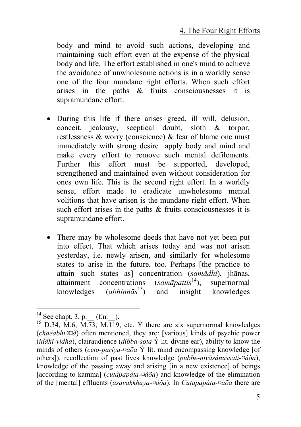body and mind to avoid such actions, developing and maintaining such effort even at the expense of the physical body and life. The effort established in one's mind to achieve the avoidance of unwholesome actions is in a worldly sense one of the four mundane right efforts. When such effort arises in the paths & fruits consciousnesses it is supramundane effort.

- During this life if there arises greed, ill will, delusion, conceit, jealousy, sceptical doubt, sloth & torpor, restlessness & worry (conscience) & fear of blame one must immediately with strong desire apply body [an](#page-4-0)d mind and make every effort to remove such mental defilements. Further this effort must be supported, developed, strengthened and maintained even without consideration for ones own life. This is the second right effort. In a worldly sense, effort made to eradicate unwholesome mental volitions that have arisen is the mundane right effort. When such effort arises in the paths  $\&$  fruits consciousnesses it is supramundane effort.
- There may be wholesome deeds that have not yet been put into effect. That which arises today and was not arisen yesterday, i.e. newly arisen, and similarly for wholesome states to arise in the future, too. Perhaps [the practice to attain such states as] concentration (*samādhi*), jhānas, attainment concentrations (*samāpattis*<sup>14</sup>), supernormal<br>knowledges (*abhinnās*<sup>15</sup>) and insight knowledges knowledges (*abhinnās* and insight knowledges

<span id="page-4-0"></span>

<sup>&</sup>lt;sup>14</sup> See chapt. 3, p. (f.n.).  $^{15}$  D.34, M.6, M.73, M.119, etc. Ý there are six supernormal knowledges (*chaëabhi¤¤à*) often mentioned, they are: [various] kinds of psychic power (*iddhi-vidha*), clairaudience (*dibba-sota* Ý lit. divine ear), ability to know the minds of others (*ceto-pariya-¤àõa* Ý lit. mind encompassing knowledge [of others]), recollection of past lives knowledge (*pubbe-nivàsànussati-¤àõa*), knowledge of the passing away and arising [in a new existence] of beings [according to kamma] (*cutåpapàta-¤àõa*) and knowledge of the elimination of the [mental] effluents (*àsavakkhaya-¤àõa*). In *Cutåpapàta-¤àõa* there are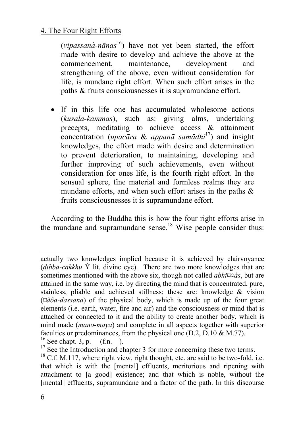<span id="page-5-0"></span>(*vipassanà-nānas* 16) have not yet been started, the effort made with desire to develop and achieve the above at the commencement, maintenance, development and strengthening of the above, even without consideration for life, is mundane right effort. When such effort arises [in](#page-5-0) the paths & fruits consciousnesses it is supramundane effort.

• If in this life one has accumulated wholesome actions (*kusala-kammas*), such as: giving alms, undertaking precepts, meditating to achieve access & attainment concentration (*upacāra* & *appanā samādhi*17) and insight knowledges, the effort made with desire and determination to prevent deterioration, to maintaining, developing and further improving of such achievements, even without consideration for ones life, is the fourth right effort. In the sensual sphere, fine material and formless realms they are mundane efforts, and when such effort arises in the paths  $\&$ fruits consciousnesses it is supramundane effort.

According to the Buddha this is how the four right efforts arise in the mundane and supramundane sense.<sup>18</sup> Wise people consider thus:

l

actually two knowledges implied because it is achieved by clairvoyance (*dibba-cakkhu* Ý lit. divine eye). There are two more knowledges that are sometimes mentioned with the above six, though not called *abhi¤¤às*, but are attained in the same way, i.e. by directing the mind that is concentrated, pure, stainless, pliable and achieved stillness; these are: knowledge & vision (*¤àõa-dassana*) of the physical body, which is made up of the four great elements (i.e. earth, water, fire and air) and the consciousness or mind that is attached or connected to it and the ability to create another body, which is mind made (*mano-maya*) and complete in all aspects together with superior faculties or predominances, from the physical one (D.2, D.10 & M.77).<br><sup>16</sup> See chapt. 3, p. (f.n.).<br><sup>17</sup> See the Introduction and chapter 3 for more concerning these two terms.<br><sup>18</sup> C.f. M.117, where right view, right tho

that which is with the [mental] effluents, meritorious and ripening with attachment to [a good] existence; and that which is noble, without the [mental] effluents, supramundane and a factor of the path. In this discourse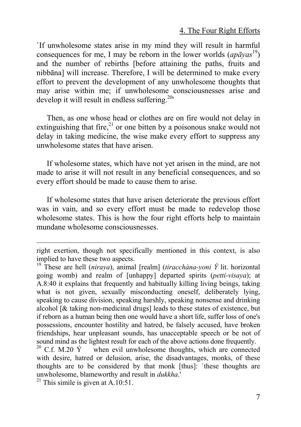`If unwholesome states arise in my mind they will result in harmful consequences for me, I may be reborn in the lower worlds  $(ap\bar{a}yas^{19})$ and the number of rebirths [before attaining the paths, fruits and nibbāna] will increase. Therefore, I will be determined to make every effort to prevent the development of any unwholesome thoughts that may arise within me; if unwholesome consciousnesses arise and develop it will result in endless suffering.<sup>20</sup>'

Then, as one whose head or clothes are on fire would not delay in extinguishing that fire, $^{21}$  or one bitten by a poisonous snake would not delay in taking medicine, the wise make every effort to suppress any unwholesome states that have arisen.

If wholesome states, which have not yet arisen in the mind, are not made to arise it will not result in any beneficial consequences, and so every effort should be made to cause them to arise.

If wholesome states that have arisen deteriorate the previous effort was in vain, and so every effort must be made to redevelop those wholesome states. This is how the four right efforts help to maintain mundane wholesome consciousnesses.

l

right exertion, though not specifically mentioned in this context, is also implied to have these two aspects. 19 These are hell (*niraya*), animal [realm] (*tiracchàna-yoni Ý* lit. horizontal

going womb) and realm of [unhappy] departed spirits (*petti-visaya*); at A.8:40 it explains that frequently and habitually killing living beings, taking what is not given, sexually misconducting oneself, deliberately lying, speaking to cause division, speaking harshly, speaking nonsense and drinking alcohol [& taking non-medicinal drugs] leads to these states of existence, but if reborn as a human being then one would have a short life, suffer loss of one's possessions, encounter hostility and hatred, be falsely accused, have broken friendships, hear unpleasant sounds, has unacceptable speech or be not of sound mind as the lightest result for each of the above actions done frequently.<br><sup>20</sup> C.f. M.20 Ý when evil unwholesome thoughts, which are connected

with desire, hatred or delusion, arise, the disadvantages, monks, of these thoughts are to be considered by that monk [thus]: `these thoughts are unwholesome, blameworthy and result in *dukkha*.' 21 This simile is given at A.10:51.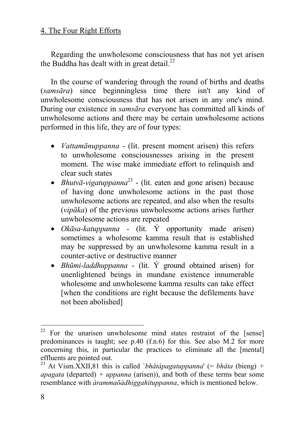Regarding the unwholesome consciousness that has not yet arisen the Buddha has dealt with in great detail. $^{22}$ 

In the course of wandering through the round of births and deaths (*samsāra*) since beginningless time there isn't any kind of unwholesome consciousness that has not arisen in any one's mind. During our existence in *samsāra* everyone has committed all kinds of unwholesome actions and there may be certain unwholesome actions performed in this life, they are of four types:

- *Vattamānuppanna* (lit. present moment arisen) this refers to unwholesome consciousnesses arising in the present moment. The wise make immediate effort to relinquish and clear such states
- *Bhutvā-vigatuppanna*23 (lit. eaten and gone arisen) because of having done unwholesome actions in the past those unwholesome actions are repeated, and also when the results (*vipāka*) of the previous unwholesome actions arises further unwholesome actions are repeated
- *Okāsa-katuppanna* (lit. Ý opportunity made arisen) sometimes a wholesome kamma result that is established may be suppressed by an unwholesome kamma result in a counter-active or destructive manner
- *Bhūmi-laddhuppanna* (lit. Ý ground obtained arisen) for unenlightened beings in mundane existence innumerable wholesome and unwholesome kamma results can take effect [when the conditions are right because the defilements have not been abolished]

 $22$  For the unarisen unwholesome mind states restraint of the [sense] predominances is taught; see p.40 (f.n.6) for this. See also M.2 for more concerning this, in particular the practices to eliminate all the [mental] effluents are pointed out. 23 At Vism.XXII,81 this is called `*bhåtàpagatuppanna*' (= *bhåta* (bieng)*<sup>+</sup>*

*apagata* (departed) *+ uppanna* (arisen)), and both of these terms bear some resemblance with *àrammaõàdhiggahituppanna*, which is mentioned below.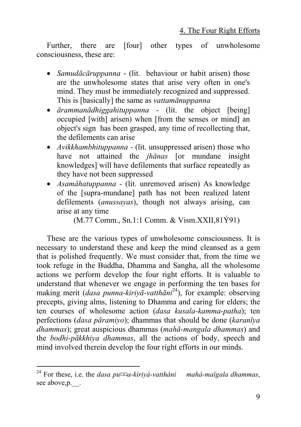Further, there are [four] other types of unwholesome consciousness, these are:

- *Samudācāruppanna* (lit. behaviour or habit arisen) those are the unwholesome states that arise very often in one's mind. They must be immediately recognized and suppressed. This is [basically] the same as *vattamānuppanna*
- *ārammanādhiggahituppanna*  (lit. the object [being] occupied [with] arisen) when [from the senses or mind] an object's sign has been grasped, any time of recollecting that, the defilements can arise
- *Avikkhambhituppanna -* (lit. unsuppressed arisen) those [wh](#page-8-0)o have not attained the *jhānas* [or mundane insight knowledges] will have defilements that surface repeatedly as they have not been suppressed
- *Asamåhatuppanna -* (lit. unremoved arisen) As knowledge of the [supra-mundane] path has not been realized latent defilements (*anussayas*), though not always arising, can arise at any time

(M.77 Comm., Sn.1:1 Comm. & Vism.XXII,81Ý91)

These are the various types of unwholesome consciousness. It is necessary to understand these and keep the mind cleansed as a gem that is polished frequently. We must consider that, from the time we took refuge in the Buddha, Dhamma and Sangha, all the wholesome actions we perform develop the four right efforts. It is valuable to understand that whenever we engage in performing the ten bases for making merit (*dasa punna-kiriyā-vatthāni*24), for example: observing precepts, giving alms, listening to Dhamma and caring for elders; the ten courses of wholesome action (*dasa kusala-kamma-patha*); ten perfections (*dasa pāramiyo*); dhammas that should be done (*karanīya dhammas*); great auspicious dhammas (*mahā-mangala dhammas*) and the *bodhi-pākkhiya dhammas*, all the actions of body, speech and mind involved therein develop the four right efforts in our minds.

<span id="page-8-0"></span><sup>&</sup>lt;sup>24</sup> For these, i.e. the *dasa pu* $\infty$ a-kiriyà-vatthåni mahà-maïgala dhammas, see above, p.  $\Box$ .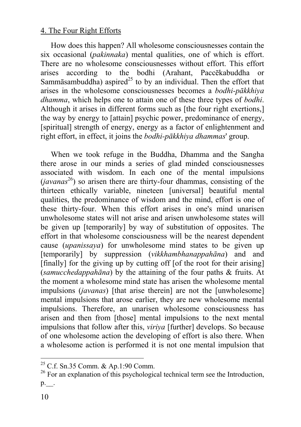How does this happen? A[ll w](#page-9-0)holesome consciousnesses contain the six occasional (*pakinnaka*) mental qualities, one of which is effort. There are no wholesome consciousnesses without effort. This effort arises according to the bodhi (Arahant, Paccēkabuddha or Sammāsambuddha) aspired<sup>25</sup> to by an individual. Then the effort that arises in the wholesome consciousnesses becomes a *bodhi-pākkhiya dhamma*, which helps one to attain one of these three types of *bodhi*. Although it arises in different forms such as [the four right exertions,] the way by energy to [attain] psychic power, predominance of energy, [spiritual] strength of energy, energy as a factor of enlightenment and right effort, in effect, it joins the *bodhi-pākkhiya dhammas*' group.

When we took refuge in the Buddha, Dhamma and the Sangha there arose in our minds a series of glad minded consciousnesses associated with wisdom. In each one of the mental impulsions  $(iavanas<sup>26</sup>)$  so arisen there are thirty-four dhammas, consisting of the thirteen ethically variable, nineteen [universal] beautiful mental qualities, the predominance of wisdom and the mind, effort is one of these thirty-four. When this effort arises in one's mind unarisen unwholesome states will not arise and arisen unwholesome states will be given up [temporarily] by way of substitution of opposites. The effort in that wholesome consciousness will be the nearest dependent cause (*upanissaya*) for unwholesome mind states to be given up [temporarily] by suppression (*vikkhambhanappahāna*) and and [finally] for the giving up by cutting off [of the root for their arising] (*samucchedappahāna*) by the attaining of the four paths & fruits. At the moment a wholesome mind state has arisen the wholesome mental impulsions (*javanas*) [that arise therein] are not the [unwholesome] mental impulsions that arose earlier, they are new wholesome mental impulsions. Therefore, an unarisen wholesome consciousness has arisen and then from [those] mental impulsions to the next mental impulsions that follow after this, *viriya* [further] develops. So because of one wholesome action the developing of effort is also there. When a wholesome action is performed it is not one mental impulsion that

<span id="page-9-0"></span>

<sup>&</sup>lt;sup>25</sup> C.f. Sn.35 Comm. & Ap.1:90 Comm.<br><sup>26</sup> For an explanation of this psychological technical term see the Introduction, p.\_\_.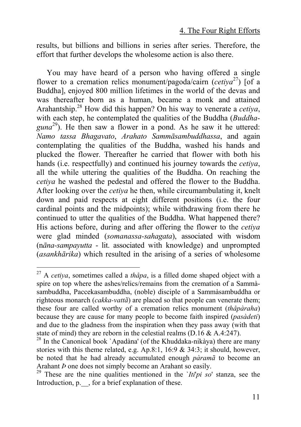results, but billions and billions in series after series. Therefore, the effort that further develops the wholesome action is also there.

You may have heard of a person who having offered a single flower to a cremation relics monument/pagoda/cairn (*cetiya*27) [of a Buddha], enjoyed 800 million lifetimes in the world of the devas and was thereafter born as a human, became a monk and attained Arahantship.28 How did this happen? On his way to venerate a *cetiya*, with each step, he contemplated the qualities of the Buddha (*Buddha*guna<sup>29</sup>). He then saw a flower in a pond. As he saw it he uttered: *Namo tassa Bhagavato*, *Arahato Sammāsambuddhassa*, and again contemplating the qualities of the Buddha, washed his hands and plucked the flower. Thereafter he carried that flower with both his hands (i.e. respectfully) and continued his journey towards the *cetiya*, all the while uttering the qualities of the Buddha. On reaching the *cetiya* he washed the pedestal and offered the flower to the Buddha. After looking over the *cetiya* he then, while circumambulating it, knelt down and paid respects at eight different positions (i.e. the four cardinal points and the midpoints); while withdrawing from there he continued to utter the qualities of the Buddha. What happened there? His actions before, during and after offering the flower to the *cetiya* were glad minded (*somanassa-sahagata*), associated with wisdom (n*āna-sampayutta* - lit. associated with knowledge) and unprompted (*asankhārika*) which resulted in the arising of a series of wholesome

 <sup>27</sup> A *cetiya*, sometimes called a *thåpa*, is a filled dome shaped object with a spire on top where the ashes/relics/remains from the cremation of a Sammàsambuddha, Paccekasambuddha, (noble) disciple of a Sammàsambuddha or righteous monarch (*cakka-vattã*) are placed so that people can venerate them; these four are called worthy of a cremation relics monument (*thåpàraha*) because they are cause for many people to become faith inspired (*pasàdeti*) and due to the gladness from the inspiration when they pass away (with that state of mind) they are reborn in the celestial realms (D.16 & A.4:247).<br><sup>28</sup> In the Canonical book `Apadàna' (of the Khuddaka-nikàya) there are many

stories with this theme related, e.g.  $Ap.8:1$ ,  $16:9 \& 34:3$ ; it should, however, be noted that he had already accumulated enough *pàramã* to become an Arahant *Þ* one does not simply become an Arahant so easily. 29 These are the nine qualities mentioned in the `*Iti*'*pi so*' stanza, see the

Introduction, p.  $\Box$ , for a brief explanation of these.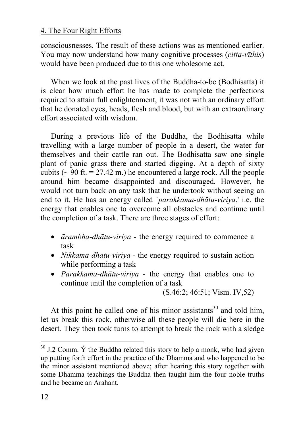consciousnesses. The result of these actions was as mentioned earlier. You may now understand how many cognitive processes (*citta-vīthis*) would have been produced due to this one wholesome act.

When we look at the past lives of the Buddha-to-be (Bodhisatta) it is clear how much effort he has made to complete the perfections required to attain full enlightenment, it was not with an ordinary effort that he donated eyes, heads, flesh and blood, but with an extraordinary effort associated with wisdom.

During a previous life of the Buddha, the Bodhisatta while travelling with a large number of people in a desert, the water for themselves and their cattle ran out. The Bodhisatta saw one single plant of panic grass there and started digging. At a depth of sixty cubits ( $\sim$  90 ft. = 27.42 m.) he encountered a large rock. All the people around him became disappointed and discouraged. However, he would not turn back on any task that he undertook without seeing an end to it. He has an energy called `*parakkama-dhātu-viriya*,' i.e. the energy that enables one to overcome all obstacles and continue until the completion of a task. There are three stages of effort:

- *ārambha-dhātu-viriya -* the energy required to commence a task
- *Nikkama-dhātu-viriya* the energy required to sustain action while performing a task
- *Parakkama-dhātu-viriya* the energy that enables one to continue until the completion of a task

(S.46:2; 46:51; Vism. IV,52)

At this point he called one of his minor assistants<sup>30</sup> and told him, let us break this rock, otherwise all these people will die here in the desert. They then took turns to attempt to break the rock with a sledge

 $30$  J.2 Comm.  $\acute{Y}$  the Buddha related this story to help a monk, who had given up putting forth effort in the practice of the Dhamma and who happened to be the minor assistant mentioned above; after hearing this story together with some Dhamma teachings the Buddha then taught him the four noble truths and he became an Arahant.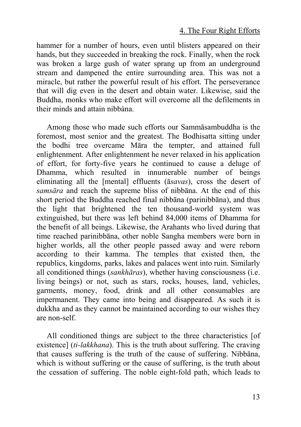hammer for a number of hours, even until blisters appeared on their hands, but they succeeded in breaking the rock. Finally, when the rock was broken a large gush of water sprang up from an underground stream and dampened the entire surrounding area. This was not a miracle, but rather the powerful result of his effort. The perseverance that will dig even in the desert and obtain water. Likewise, said the Buddha, monks who make effort will overcome all the defilements in their minds and attain nibbàna.

Among those who made such efforts our Sammāsambuddha is the foremost, most senior and the greatest. The Bodhisatta sitting under the bodhi tree overcame Māra the tempter, and attained full enlightenment. After enlightenment he never relaxed in his application of effort, for forty-five years he continued to cause a deluge of Dhamma, which resulted in innumerable number of beings eliminating all the [mental] effluents (ā*savas*), cross the desert of *samsāra* and reach the supreme bliss of nibbāna. At the end of this short period the Buddha reached final nibbāna (parinibbāna), and thus the light that brightened the ten thousand-world system was extinguished, but there was left behind 84,000 items of Dhamma for the benefit of all beings. Likewise, the Arahants who lived during that time reached parinibbāna, other noble Sangha members were born in higher worlds, all the other people passed away and were reborn according to their kamma. The temples that existed then, the republics, kingdoms, parks, lakes and palaces went into ruin. Similarly all conditioned things (*sankhāras*), whether having consciousness (i.e. living beings) or not, such as stars, rocks, houses, land, vehicles, garments, money, food, drink and all other consumables are impermanent. They came into being and disappeared. As such it is dukkha and as they cannot be maintained according to our wishes they are non-self.

All conditioned things are subject to the three characteristics [of existence] (*ti-lakkhana*). This is the truth about suffering. The craving that causes suffering is the truth of the cause of suffering. Nibbāna, which is without suffering or the cause of suffering, is the truth about the cessation of suffering. The noble eight-fold path, which leads to